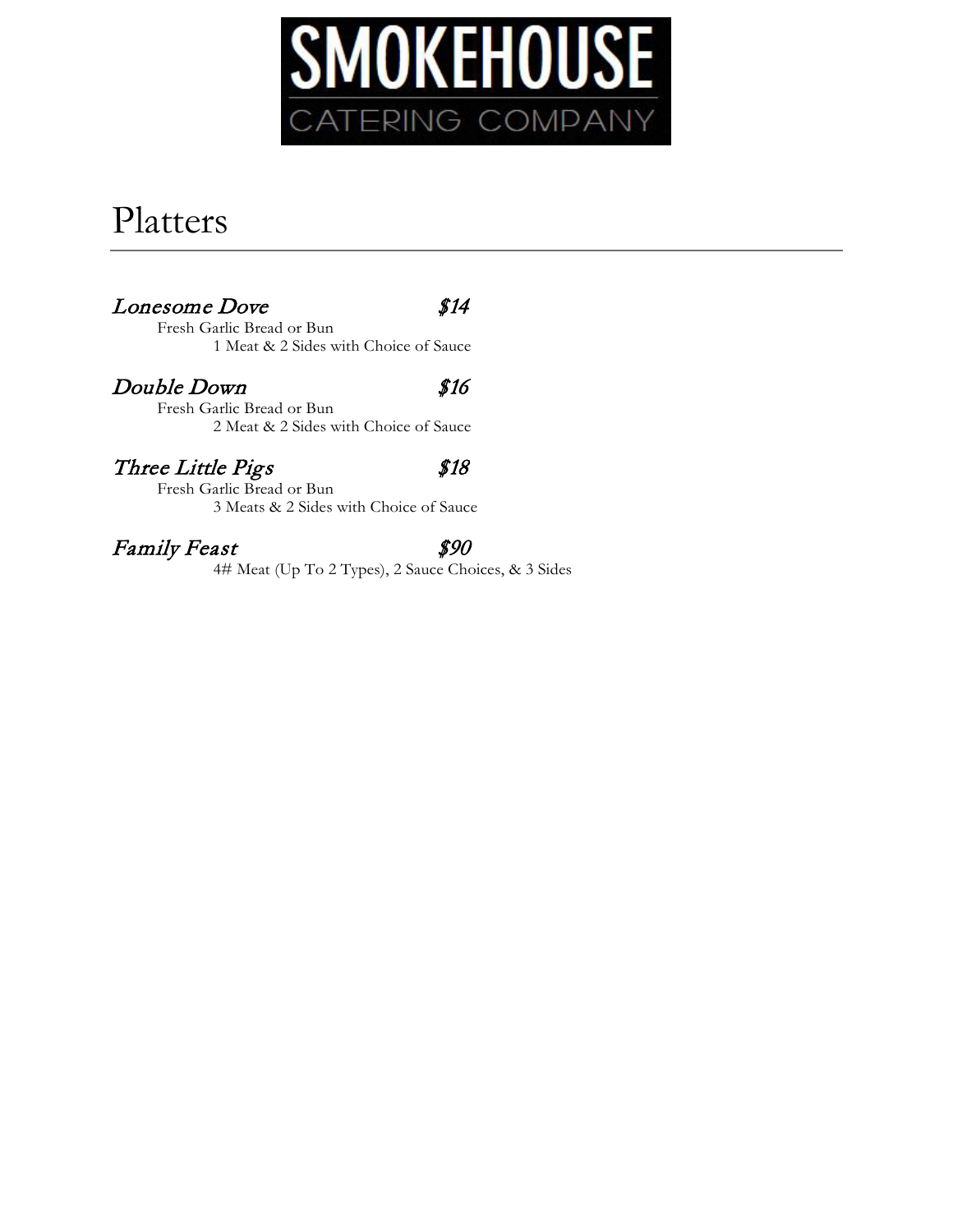

# Platters

### Lonesome Dove \$14

Fresh Garlic Bread or Bun 1 Meat & 2 Sides with Choice of Sauce

### Double Down \$16

Fresh Garlic Bread or Bun 2 Meat & 2 Sides with Choice of Sauce

### Three Little Pigs \$18

Fresh Garlic Bread or Bun 3 Meats & 2 Sides with Choice of Sauce

### Family Feast  $$90$

4# Meat (Up To 2 Types), 2 Sauce Choices, & 3 Sides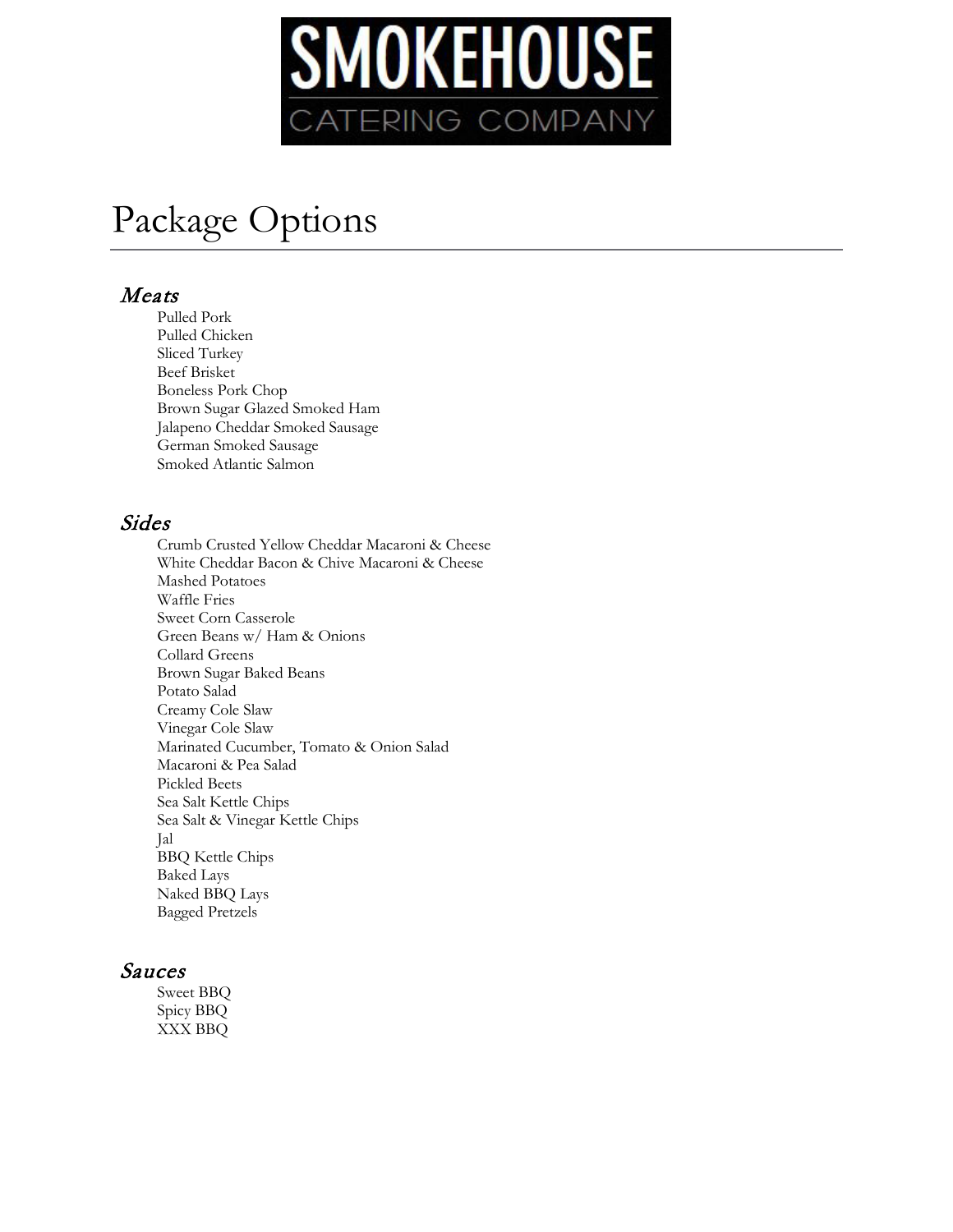

# Package Options

### Meats

Pulled Pork Pulled Chicken Sliced Turkey Beef Brisket Boneless Pork Chop Brown Sugar Glazed Smoked Ham Jalapeno Cheddar Smoked Sausage German Smoked Sausage Smoked Atlantic Salmon

### Sides

Crumb Crusted Yellow Cheddar Macaroni & Cheese White Cheddar Bacon & Chive Macaroni & Cheese Mashed Potatoes Waffle Fries Sweet Corn Casserole Green Beans w/ Ham & Onions Collard Greens Brown Sugar Baked Beans Potato Salad Creamy Cole Slaw Vinegar Cole Slaw Marinated Cucumber, Tomato & Onion Salad Macaroni & Pea Salad Pickled Beets Sea Salt Kettle Chips Sea Salt & Vinegar Kettle Chips Jal BBQ Kettle Chips Baked Lays Naked BBQ Lays Bagged Pretzels

### Sauces

Sweet BBQ Spicy BBQ XXX BBQ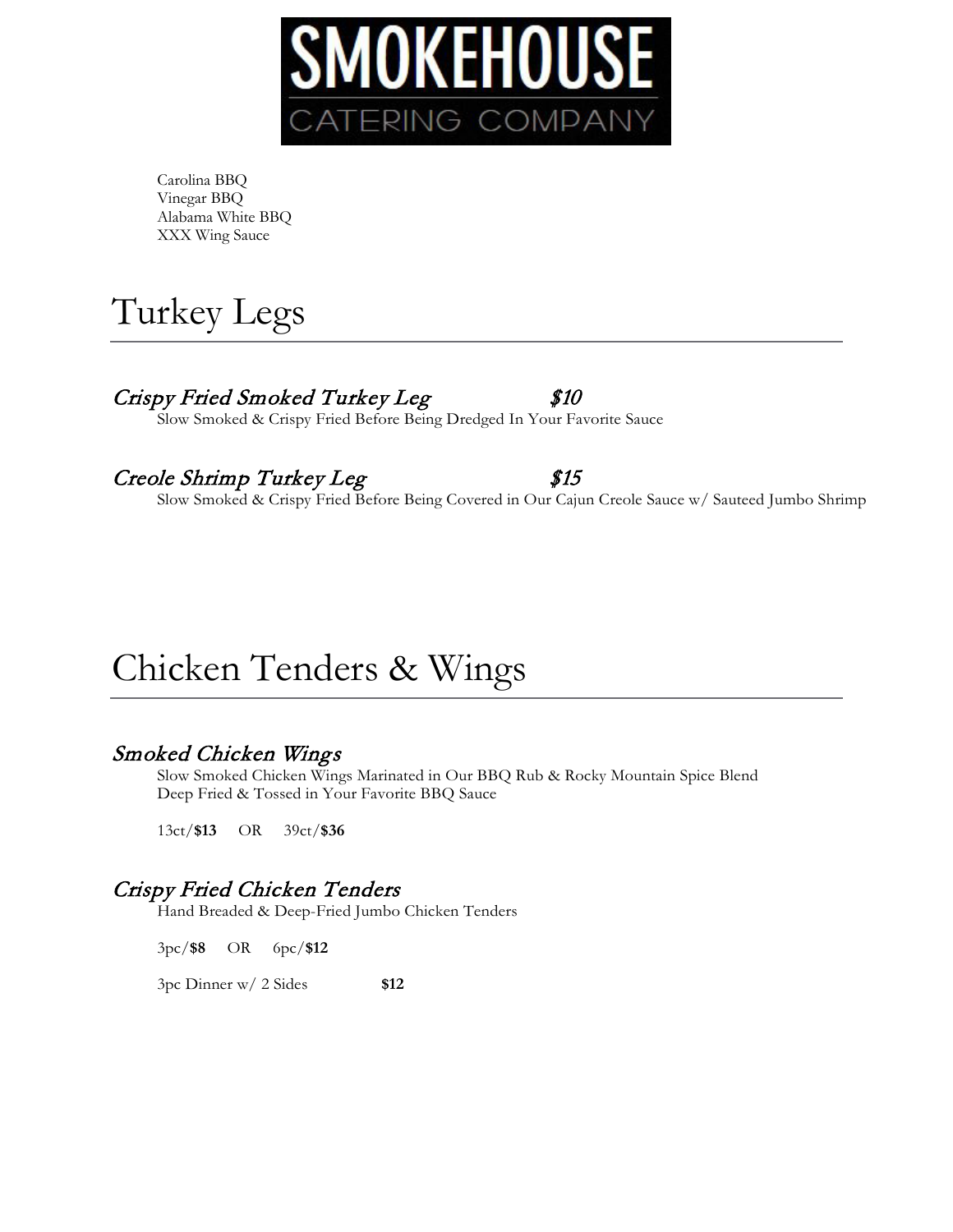

Carolina BBQ Vinegar BBQ Alabama White BBQ XXX Wing Sauce



## Crispy Fried Smoked Turkey Leg \$10

Slow Smoked & Crispy Fried Before Being Dredged In Your Favorite Sauce

### Creole Shrimp Turkey Leg \$15

Slow Smoked & Crispy Fried Before Being Covered in Our Cajun Creole Sauce w/ Sauteed Jumbo Shrimp

# Chicken Tenders & Wings

### Smoked Chicken Wings

Slow Smoked Chicken Wings Marinated in Our BBQ Rub & Rocky Mountain Spice Blend Deep Fried & Tossed in Your Favorite BBQ Sauce

13ct/**\$13** OR 39ct/**\$36**

## Crispy Fried Chicken Tenders

Hand Breaded & Deep-Fried Jumbo Chicken Tenders

3pc/**\$8** OR 6pc/**\$12**

3pc Dinner w/ 2 Sides **\$12**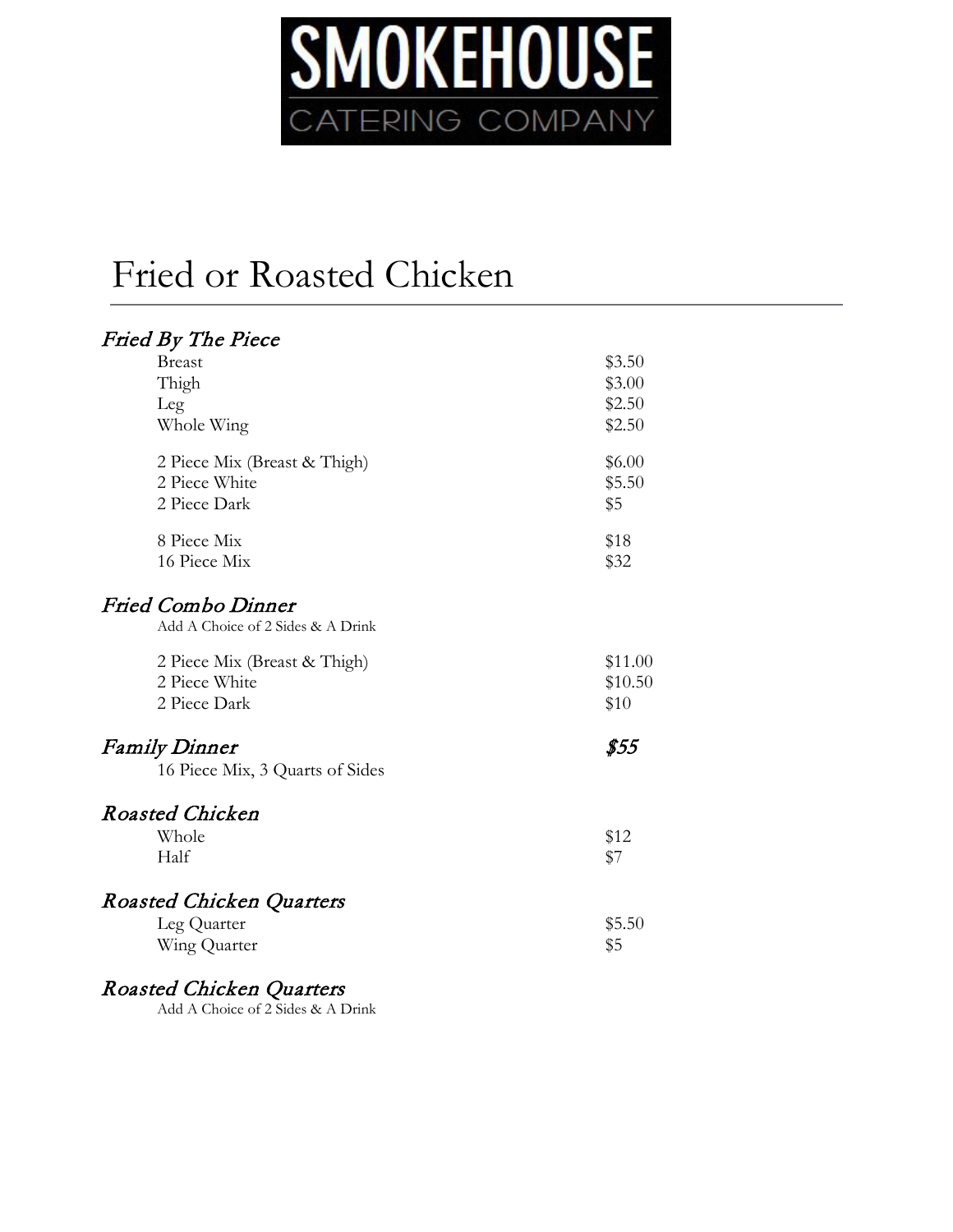

# Fried or Roasted Chicken

| Fried By The Piece                |         |
|-----------------------------------|---------|
| <b>Breast</b>                     | \$3.50  |
| Thigh                             | \$3.00  |
| Leg                               | \$2.50  |
| Whole Wing                        | \$2.50  |
| 2 Piece Mix (Breast & Thigh)      | \$6.00  |
| 2 Piece White                     | \$5.50  |
| 2 Piece Dark                      | \$5     |
| 8 Piece Mix                       | \$18    |
| 16 Piece Mix                      | \$32    |
| <b>Fried Combo Dinner</b>         |         |
| Add A Choice of 2 Sides & A Drink |         |
| 2 Piece Mix (Breast & Thigh)      | \$11.00 |
| 2 Piece White                     | \$10.50 |
| 2 Piece Dark                      | \$10    |
| <b>Family Dinner</b>              | \$55    |
| 16 Piece Mix, 3 Quarts of Sides   |         |
| <b>Roasted Chicken</b>            |         |
| Whole                             | \$12    |
| Half                              | \$7     |
|                                   |         |
| <b>Roasted Chicken Quarters</b>   |         |
| Leg Quarter                       | \$5.50  |
| Wing Quarter                      | \$5     |
|                                   |         |

Roasted Chicken Quarters

Add A Choice of 2 Sides & A Drink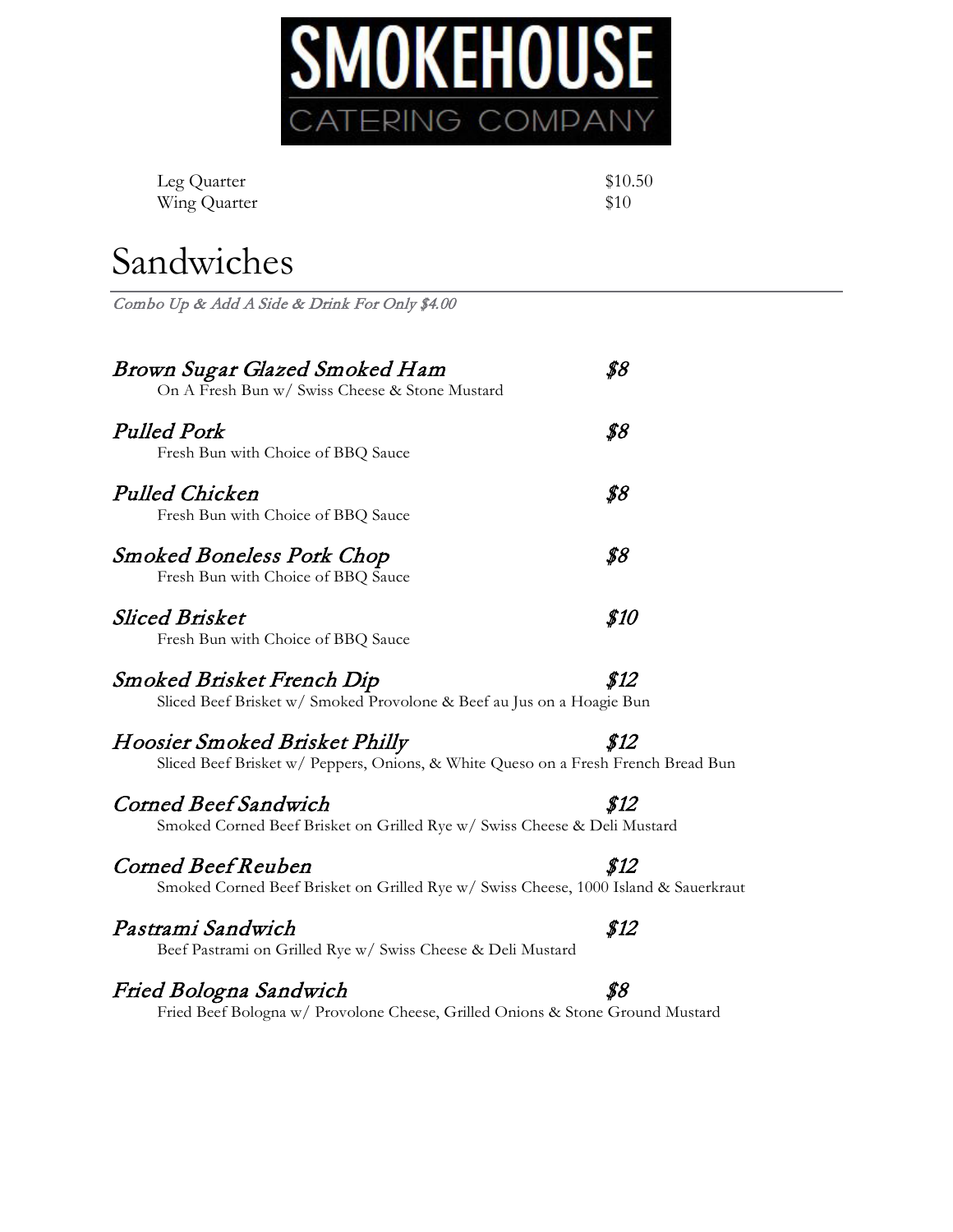

| Leg Quarter  | \$10.50 |
|--------------|---------|
| Wing Quarter | \$10    |

# Sandwiches

Combo Up & Add A Side & Drink For Only \$4.00

| Brown Sugar Glazed Smoked Ham<br>On A Fresh Bun w/ Swiss Cheese & Stone Mustard                                    | \$8  |
|--------------------------------------------------------------------------------------------------------------------|------|
| <b>Pulled Pork</b><br>Fresh Bun with Choice of BBQ Sauce                                                           | \$8  |
| Pulled Chicken<br>Fresh Bun with Choice of BBQ Sauce                                                               | \$8  |
| <b>Smoked Boneless Pork Chop</b><br>Fresh Bun with Choice of BBQ Sauce                                             | \$8  |
| <b>Sliced Brisket</b><br>Fresh Bun with Choice of BBQ Sauce                                                        | \$10 |
| Smoked Brisket French Dip<br>Sliced Beef Brisket w/ Smoked Provolone & Beef au Jus on a Hoagie Bun                 | \$12 |
| Hoosier Smoked Brisket Philly<br>Sliced Beef Brisket w/ Peppers, Onions, & White Queso on a Fresh French Bread Bun | \$12 |
| Corned Beef Sandwich<br>Smoked Corned Beef Brisket on Grilled Rye w/ Swiss Cheese & Deli Mustard                   | \$12 |
| Corned Beef Reuben<br>Smoked Corned Beef Brisket on Grilled Rye w/ Swiss Cheese, 1000 Island & Sauerkraut          | \$12 |
| Pastrami Sandwich<br>Beef Pastrami on Grilled Rye w/ Swiss Cheese & Deli Mustard                                   | \$12 |
| Fried Bologna Sandwich                                                                                             | \$8  |

Fried Beef Bologna w/ Provolone Cheese, Grilled Onions & Stone Ground Mustard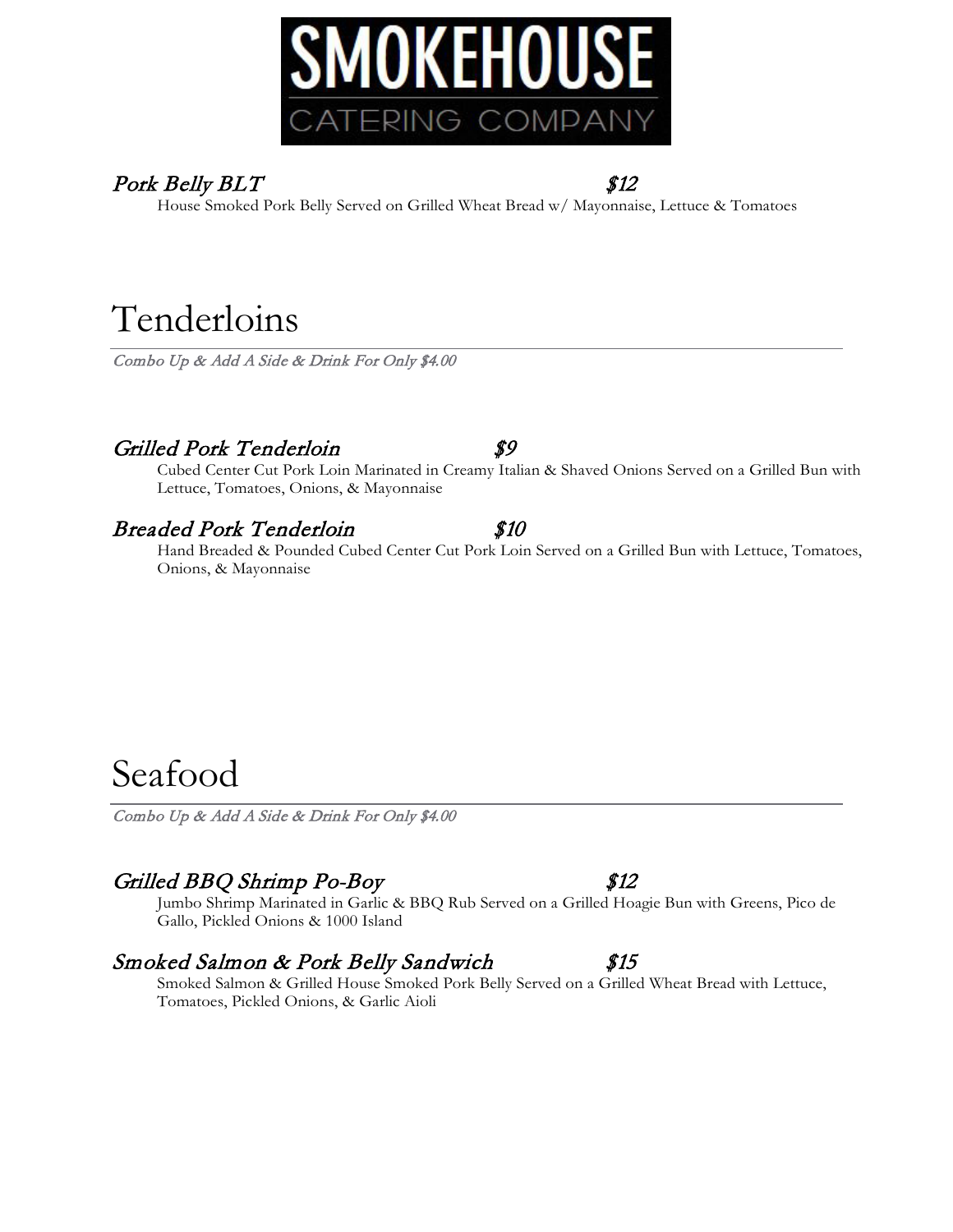

## Pork Belly BLT \$12

House Smoked Pork Belly Served on Grilled Wheat Bread w/ Mayonnaise, Lettuce & Tomatoes

# Tenderloins

Combo Up & Add A Side & Drink For Only \$4.00

## Grilled Pork Tenderloin \$9

Cubed Center Cut Pork Loin Marinated in Creamy Italian & Shaved Onions Served on a Grilled Bun with Lettuce, Tomatoes, Onions, & Mayonnaise

## Breaded Pork Tenderloin \$10

Hand Breaded & Pounded Cubed Center Cut Pork Loin Served on a Grilled Bun with Lettuce, Tomatoes, Onions, & Mayonnaise

# Seafood

Combo Up & Add A Side & Drink For Only \$4.00

## Grilled BBQ Shrimp Po-Boy \$12

Jumbo Shrimp Marinated in Garlic & BBQ Rub Served on a Grilled Hoagie Bun with Greens, Pico de Gallo, Pickled Onions & 1000 Island

## Smoked Salmon & Pork Belly Sandwich \$15

Smoked Salmon & Grilled House Smoked Pork Belly Served on a Grilled Wheat Bread with Lettuce, Tomatoes, Pickled Onions, & Garlic Aioli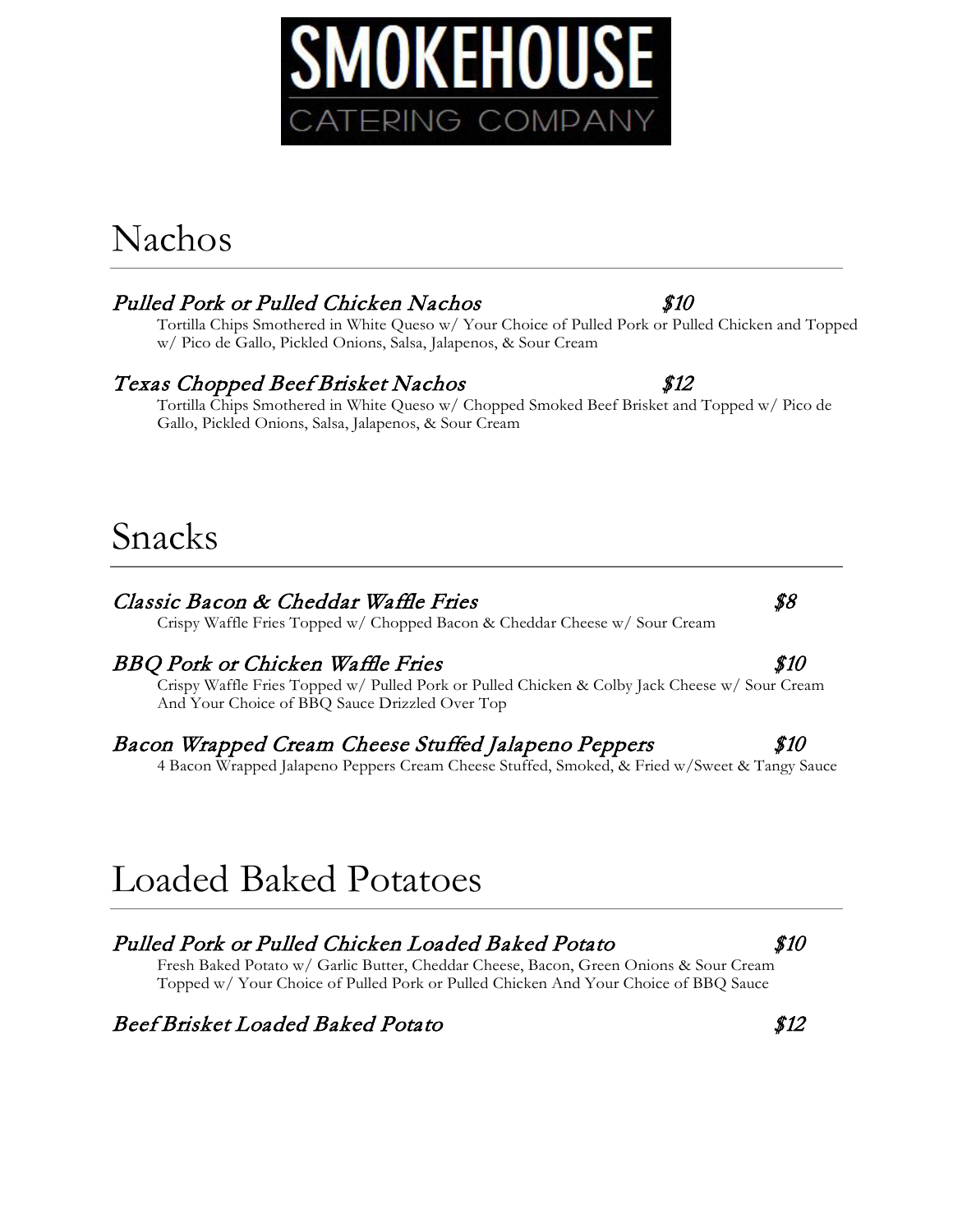# Nachos

## Pulled Pork or Pulled Chicken Nachos \$10

Tortilla Chips Smothered in White Queso w/ Your Choice of Pulled Pork or Pulled Chicken and Topped w/ Pico de Gallo, Pickled Onions, Salsa, Jalapenos, & Sour Cream

## Texas Chopped Beef Brisket Nachos \$12

Tortilla Chips Smothered in White Queso w/ Chopped Smoked Beef Brisket and Topped w/ Pico de Gallo, Pickled Onions, Salsa, Jalapenos, & Sour Cream

## Snacks

### Classic Bacon & Cheddar Waffle Fries  $$8$

Crispy Waffle Fries Topped w/ Chopped Bacon & Cheddar Cheese w/ Sour Cream

### BBQ Pork or Chicken Waffle Fries  $$10$

Crispy Waffle Fries Topped w/ Pulled Pork or Pulled Chicken & Colby Jack Cheese w/ Sour Cream And Your Choice of BBQ Sauce Drizzled Over Top

### Bacon Wrapped Cream Cheese Stuffed Jalapeno Peppers  $$10$

4 Bacon Wrapped Jalapeno Peppers Cream Cheese Stuffed, Smoked, & Fried w/Sweet & Tangy Sauce

# Loaded Baked Potatoes

## Pulled Pork or Pulled Chicken Loaded Baked Potato \$10

Fresh Baked Potato w/ Garlic Butter, Cheddar Cheese, Bacon, Green Onions & Sour Cream Topped w/ Your Choice of Pulled Pork or Pulled Chicken And Your Choice of BBQ Sauce

## Beef Brisket Loaded Baked Potato \$12



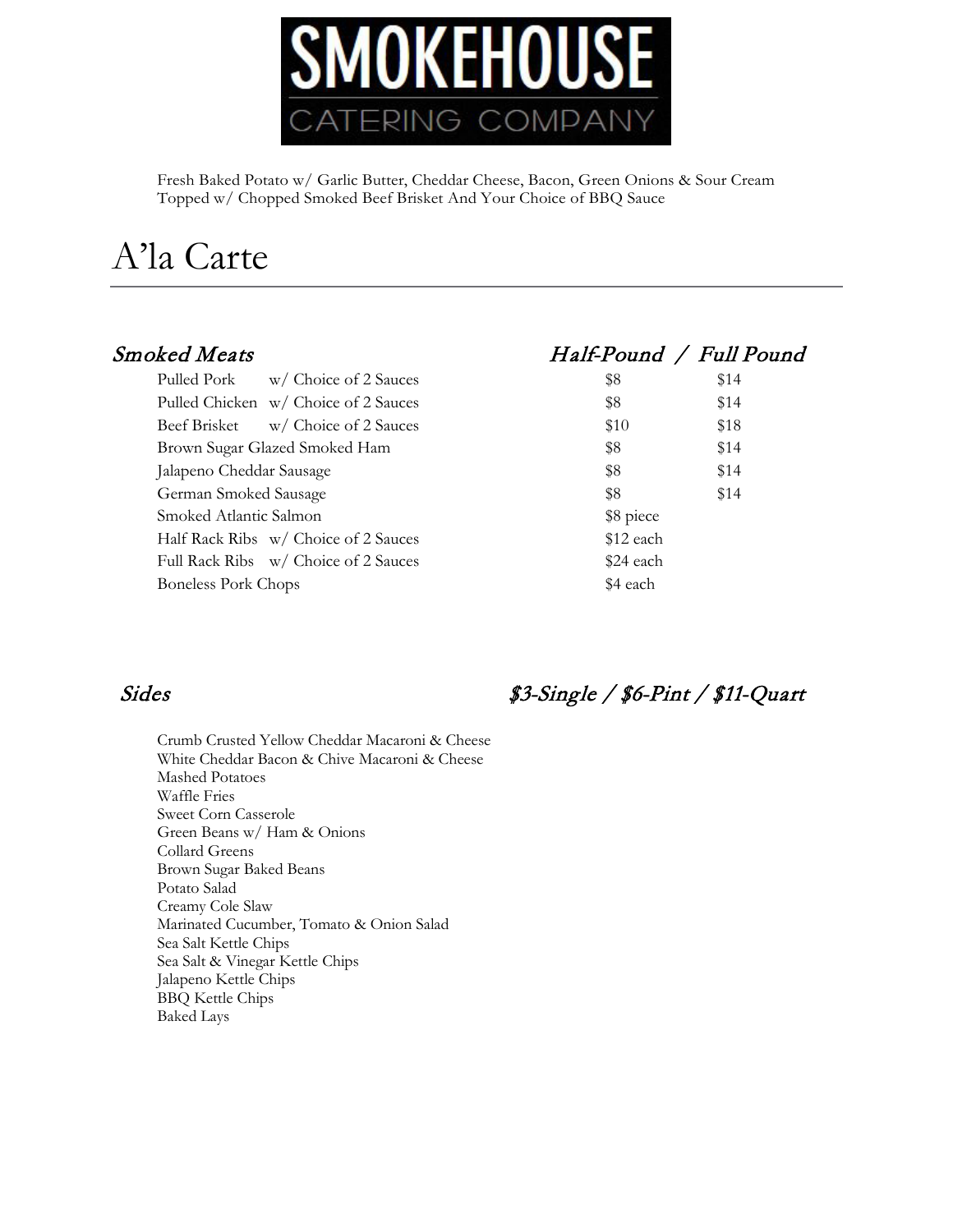

Fresh Baked Potato w/ Garlic Butter, Cheddar Cheese, Bacon, Green Onions & Sour Cream Topped w/ Chopped Smoked Beef Brisket And Your Choice of BBQ Sauce

# A'la Carte

| \$8<br>\$10 | \$14<br>\$18 |
|-------------|--------------|
|             |              |
|             |              |
| \$8         | \$14         |
| \$8         | \$14         |
| \$8         | \$14         |
| \$8 piece   |              |
| \$12 each   |              |
| \$24 each   |              |
| \$4 each    |              |
|             |              |

## Smoked Meats Half-Pound / Full Pound

| \$8       | \$14 |
|-----------|------|
| \$8       | \$14 |
| \$10      | \$18 |
| \$8       | \$14 |
| \$8       | \$14 |
| \$8       | \$14 |
| \$8 piece |      |
| \$12 each |      |
| \$24 each |      |
| \$4 each  |      |
|           |      |

Crumb Crusted Yellow Cheddar Macaroni & Cheese White Cheddar Bacon & Chive Macaroni & Cheese Mashed Potatoes Waffle Fries Sweet Corn Casserole Green Beans w/ Ham & Onions Collard Greens Brown Sugar Baked Beans Potato Salad Creamy Cole Slaw Marinated Cucumber, Tomato & Onion Salad Sea Salt Kettle Chips Sea Salt & Vinegar Kettle Chips Jalapeno Kettle Chips BBQ Kettle Chips Baked Lays

## Sides \$3-Single / \$6-Pint / \$11-Quart